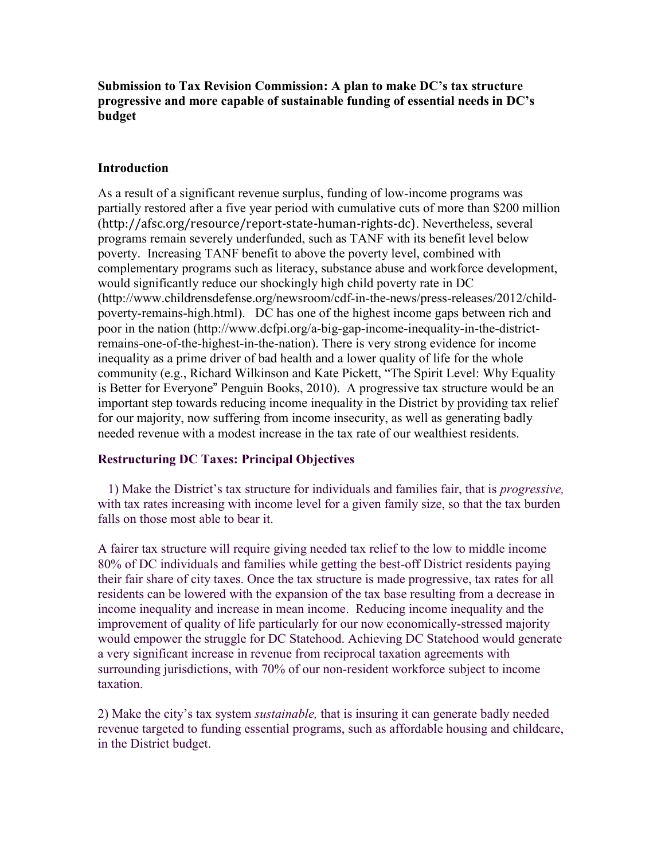**Submission to Tax Revision Commission: A plan to make DC's tax structure progressive and more capable of sustainable funding of essential needs in DC's budget**

### **Introduction**

As a result of a significant revenue surplus, funding of low-income programs was partially restored after a five year period with cumulative cuts of more than \$200 million ([http://afsc.org/resource/report-state-human-rights-dc\)](http://afsc.org/resource/report-state-human-rights-dc). Nevertheless, several programs remain severely underfunded, such as TANF with its benefit level below poverty. Increasing TANF benefit to above the poverty level, combined with complementary programs such as literacy, substance abuse and workforce development, would significantly reduce our shockingly high child poverty rate in DC (http://www.childrensdefense.org/newsroom/cdf-in-the-news/press-releases/2012/childpoverty-remains-high.html). DC has one of the highest income gaps between rich and poor in the nation (http://www.dcfpi.org/a-big-gap-income-inequality-in-the-districtremains-one-of-the-highest-in-the-nation). There is very strong evidence for income inequality as a prime driver of bad health and a lower quality of life for the whole community (e.g., Richard Wilkinson and Kate Pickett, "The Spirit Level: Why Equality is Better for Everyone" Penguin Books, 2010). A progressive tax structure would be an important step towards reducing income inequality in the District by providing tax relief for our majority, now suffering from income insecurity, as well as generating badly needed revenue with a modest increase in the tax rate of our wealthiest residents.

### **Restructuring DC Taxes: Principal Objectives**

1) Make the District"s tax structure for individuals and families fair, that is *progressive,* with tax rates increasing with income level for a given family size, so that the tax burden falls on those most able to bear it.

A fairer tax structure will require giving needed tax relief to the low to middle income 80% of DC individuals and families while getting the best-off District residents paying their fair share of city taxes. Once the tax structure is made progressive, tax rates for all residents can be lowered with the expansion of the tax base resulting from a decrease in income inequality and increase in mean income. Reducing income inequality and the improvement of quality of life particularly for our now economically-stressed majority would empower the struggle for DC Statehood. Achieving DC Statehood would generate a very significant increase in revenue from reciprocal taxation agreements with surrounding jurisdictions, with 70% of our non-resident workforce subject to income taxation.

2) Make the city"s tax system *sustainable,* that is insuring it can generate badly needed revenue targeted to funding essential programs, such as affordable housing and childcare, in the District budget.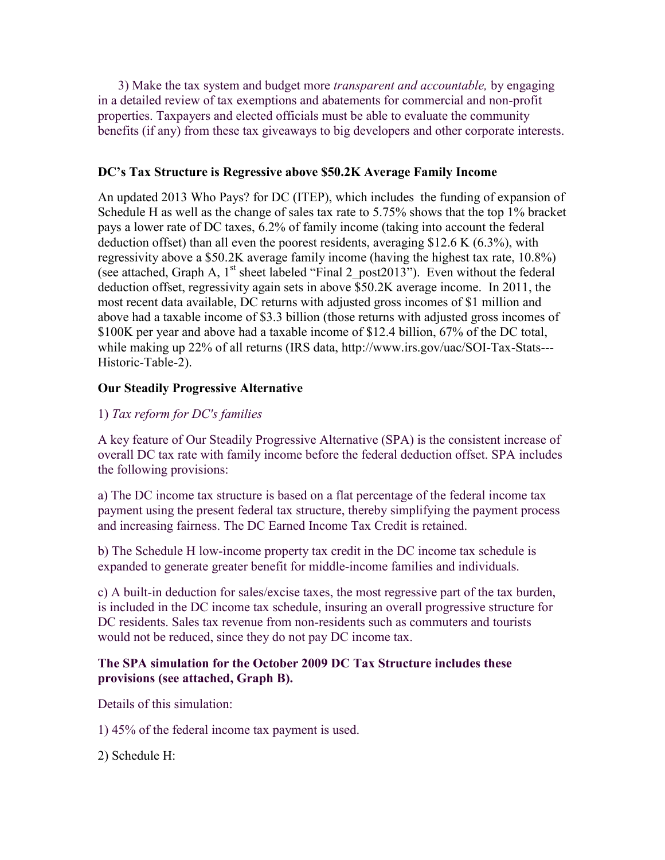3) Make the tax system and budget more *transparent and accountable,* by engaging in a detailed review of tax exemptions and abatements for commercial and non-profit properties. Taxpayers and elected officials must be able to evaluate the community benefits (if any) from these tax giveaways to big developers and other corporate interests.

# **DC's Tax Structure is Regressive above \$50.2K Average Family Income**

An updated 2013 Who Pays? for DC (ITEP), which includes the funding of expansion of Schedule H as well as the change of sales tax rate to 5.75% shows that the top 1% bracket pays a lower rate of DC taxes, 6.2% of family income (taking into account the federal deduction offset) than all even the poorest residents, averaging \$12.6 K (6.3%), with regressivity above a \$50.2K average family income (having the highest tax rate, 10.8%) (see attached, Graph A,  $1<sup>st</sup>$  sheet labeled "Final 2 post2013"). Even without the federal deduction offset, regressivity again sets in above \$50.2K average income. In 2011, the most recent data available, DC returns with adjusted gross incomes of \$1 million and above had a taxable income of \$3.3 billion (those returns with adjusted gross incomes of \$100K per year and above had a taxable income of \$12.4 billion, 67% of the DC total, while making up 22% of all returns (IRS data, http://www.irs.gov/uac/SOI-Tax-Stats---Historic-Table-2).

## **Our Steadily Progressive Alternative**

# 1) *Tax reform for DC's families*

A key feature of Our Steadily Progressive Alternative (SPA) is the consistent increase of overall DC tax rate with family income before the federal deduction offset. SPA includes the following provisions:

a) The DC income tax structure is based on a flat percentage of the federal income tax payment using the present federal tax structure, thereby simplifying the payment process and increasing fairness. The DC Earned Income Tax Credit is retained.

b) The Schedule H low-income property tax credit in the DC income tax schedule is expanded to generate greater benefit for middle-income families and individuals.

c) A built-in deduction for sales/excise taxes, the most regressive part of the tax burden, is included in the DC income tax schedule, insuring an overall progressive structure for DC residents. Sales tax revenue from non-residents such as commuters and tourists would not be reduced, since they do not pay DC income tax.

## **The SPA simulation for the October 2009 DC Tax Structure includes these provisions (see attached, Graph B).**

Details of this simulation:

1) 45% of the federal income tax payment is used.

2) Schedule H: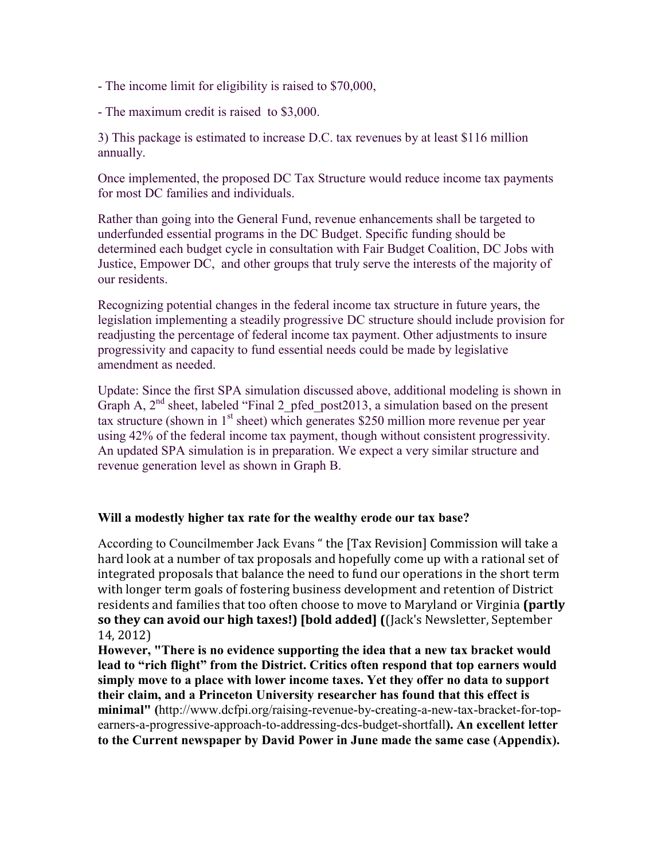- The income limit for eligibility is raised to \$70,000,

- The maximum credit is raised to \$3,000.

3) This package is estimated to increase D.C. tax revenues by at least \$116 million annually.

Once implemented, the proposed DC Tax Structure would reduce income tax payments for most DC families and individuals.

Rather than going into the General Fund, revenue enhancements shall be targeted to underfunded essential programs in the DC Budget. Specific funding should be determined each budget cycle in consultation with Fair Budget Coalition, DC Jobs with Justice, Empower DC, and other groups that truly serve the interests of the majority of our residents.

Recognizing potential changes in the federal income tax structure in future years, the legislation implementing a steadily progressive DC structure should include provision for readjusting the percentage of federal income tax payment. Other adjustments to insure progressivity and capacity to fund essential needs could be made by legislative amendment as needed.

Update: Since the first SPA simulation discussed above, additional modeling is shown in Graph A,  $2<sup>nd</sup>$  sheet, labeled "Final 2 pfed post2013, a simulation based on the present tax structure (shown in  $1<sup>st</sup>$  sheet) which generates \$250 million more revenue per year using 42% of the federal income tax payment, though without consistent progressivity. An updated SPA simulation is in preparation. We expect a very similar structure and revenue generation level as shown in Graph B.

### **Will a modestly higher tax rate for the wealthy erode our tax base?**

According to Councilmember Jack Evans " the [Tax Revision] Commission will take a hard look at a number of tax proposals and hopefully come up with a rational set of integrated proposals that balance the need to fund our operations in the short term with longer term goals of fostering business development and retention of District residents and families that too often choose to move to Maryland or Virginia **(partly so they can avoid our high taxes!) [bold added] (**(Jack's Newsletter, September 14, 2012)

**However, "There is no evidence supporting the idea that a new tax bracket would lead to "rich flight" from the District. Critics often respond that top earners would simply move to a place with lower income taxes. Yet they offer no data to support their claim, and a Princeton University researcher has found that this effect is minimal" (**[http://www.dcfpi.org/raising-revenue-by-creating-a-new-tax-bracket-for-top](http://www.dcfpi.org/raising-revenue-by-creating-a-new-tax-bracket-for-top-earners-a-progressive-approach-to-addressing-dcs-budget-shortfall)[earners-a-progressive-approach-to-addressing-dcs-budget-shortfall](http://www.dcfpi.org/raising-revenue-by-creating-a-new-tax-bracket-for-top-earners-a-progressive-approach-to-addressing-dcs-budget-shortfall)**). An excellent letter to the Current newspaper by David Power in June made the same case (Appendix).**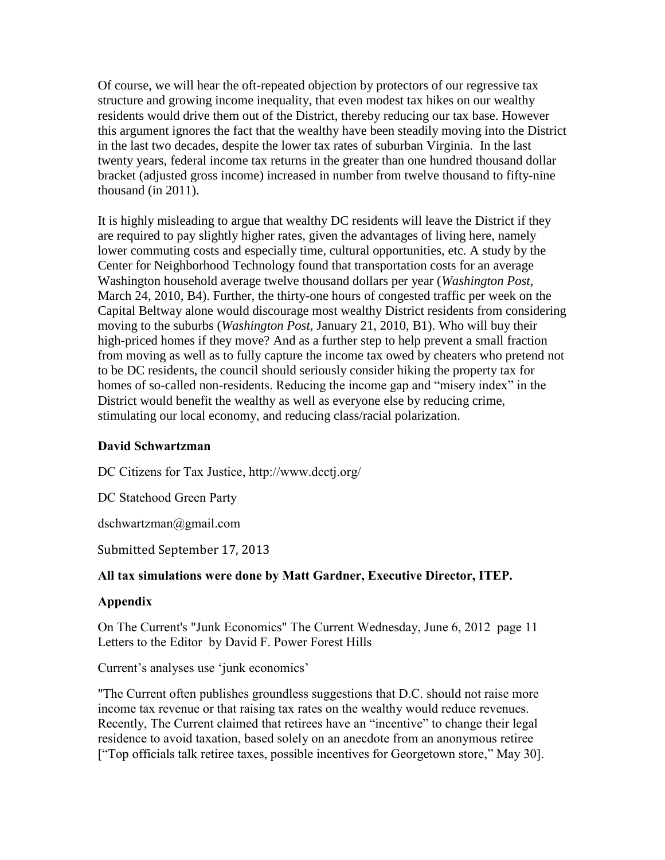Of course, we will hear the oft-repeated objection by protectors of our regressive tax structure and growing income inequality, that even modest tax hikes on our wealthy residents would drive them out of the District, thereby reducing our tax base. However this argument ignores the fact that the wealthy have been steadily moving into the District in the last two decades, despite the lower tax rates of suburban Virginia. In the last twenty years, federal income tax returns in the greater than one hundred thousand dollar bracket (adjusted gross income) increased in number from twelve thousand to fifty-nine thousand (in 2011).

It is highly misleading to argue that wealthy DC residents will leave the District if they are required to pay slightly higher rates, given the advantages of living here, namely lower commuting costs and especially time, cultural opportunities, etc. A study by the Center for Neighborhood Technology found that transportation costs for an average Washington household average twelve thousand dollars per year (*Washington Post,* March 24, 2010, B4). Further, the thirty-one hours of congested traffic per week on the Capital Beltway alone would discourage most wealthy District residents from considering moving to the suburbs (*Washington Post,* January 21, 2010, B1). Who will buy their high-priced homes if they move? And as a further step to help prevent a small fraction from moving as well as to fully capture the income tax owed by cheaters who pretend not to be DC residents, the council should seriously consider hiking the property tax for homes of so-called non-residents. Reducing the income gap and "misery index" in the District would benefit the wealthy as well as everyone else by reducing crime, stimulating our local economy, and reducing class/racial polarization.

# **David Schwartzman**

DC Citizens for Tax Justice, http://www.dcctj.org/

DC Statehood Green Party

[dschwartzman@gmail.com](mailto:dschwartzman@gmail.com)

Submitted September 17, 2013

# **All tax simulations were done by Matt Gardner, Executive Director, ITEP.**

# **Appendix**

On The Current's "Junk Economics" The Current Wednesday, June 6, 2012 page 11 Letters to the Editor by David F. Power Forest Hills

Current's analyses use 'junk economics'

"The Current often publishes groundless suggestions that D.C. should not raise more income tax revenue or that raising tax rates on the wealthy would reduce revenues. Recently, The Current claimed that retirees have an "incentive" to change their legal residence to avoid taxation, based solely on an anecdote from an anonymous retiree ["Top officials talk retiree taxes, possible incentives for Georgetown store," May 30].